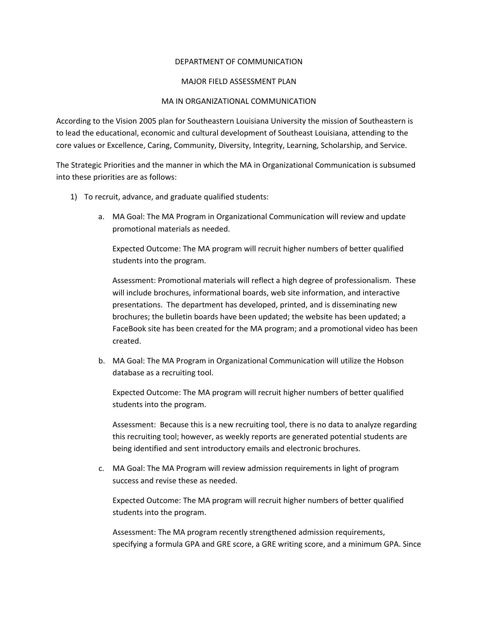## DEPARTMENT OF COMMUNICATION

## MAJOR FIELD ASSESSMENT PLAN

## MA IN ORGANIZATIONAL COMMUNICATION

According to the Vision 2005 plan for Southeastern Louisiana University the mission of Southeastern is to lead the educational, economic and cultural development of Southeast Louisiana, attending to the core values or Excellence, Caring, Community, Diversity, Integrity, Learning, Scholarship, and Service.

The Strategic Priorities and the manner in which the MA in Organizational Communication is subsumed into these priorities are as follows:

- 1) To recruit, advance, and graduate qualified students:
	- a. MA Goal: The MA Program in Organizational Communication will review and update promotional materials as needed.

Expected Outcome: The MA program will recruit higher numbers of better qualified students into the program.

Assessment: Promotional materials will reflect a high degree of professionalism. These will include brochures, informational boards, web site information, and interactive presentations. The department has developed, printed, and is disseminating new brochures; the bulletin boards have been updated; the website has been updated; a FaceBook site has been created for the MA program; and a promotional video has been created.

b. MA Goal: The MA Program in Organizational Communication will utilize the Hobson database as a recruiting tool.

Expected Outcome: The MA program will recruit higher numbers of better qualified students into the program.

Assessment: Because this is a new recruiting tool, there is no data to analyze regarding this recruiting tool; however, as weekly reports are generated potential students are being identified and sent introductory emails and electronic brochures.

c. MA Goal: The MA Program will review admission requirements in light of program success and revise these as needed.

Expected Outcome: The MA program will recruit higher numbers of better qualified students into the program.

Assessment: The MA program recently strengthened admission requirements, specifying a formula GPA and GRE score, a GRE writing score, and a minimum GPA. Since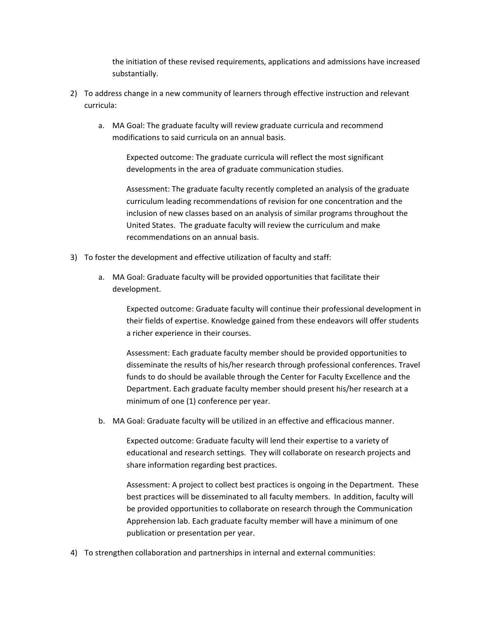the initiation of these revised requirements, applications and admissions have increased substantially.

- 2) To address change in a new community of learners through effective instruction and relevant curricula:
	- a. MA Goal: The graduate faculty will review graduate curricula and recommend modifications to said curricula on an annual basis.

Expected outcome: The graduate curricula will reflect the most significant developments in the area of graduate communication studies.

Assessment: The graduate faculty recently completed an analysis of the graduate curriculum leading recommendations of revision for one concentration and the inclusion of new classes based on an analysis of similar programs throughout the United States. The graduate faculty will review the curriculum and make recommendations on an annual basis.

- 3) To foster the development and effective utilization of faculty and staff:
	- a. MA Goal: Graduate faculty will be provided opportunities that facilitate their development.

Expected outcome: Graduate faculty will continue their professional development in their fields of expertise. Knowledge gained from these endeavors will offer students a richer experience in their courses.

Assessment: Each graduate faculty member should be provided opportunities to disseminate the results of his/her research through professional conferences. Travel funds to do should be available through the Center for Faculty Excellence and the Department. Each graduate faculty member should present his/her research at a minimum of one (1) conference per year.

b. MA Goal: Graduate faculty will be utilized in an effective and efficacious manner.

Expected outcome: Graduate faculty will lend their expertise to a variety of educational and research settings. They will collaborate on research projects and share information regarding best practices.

Assessment: A project to collect best practices is ongoing in the Department. These best practices will be disseminated to all faculty members. In addition, faculty will be provided opportunities to collaborate on research through the Communication Apprehension lab. Each graduate faculty member will have a minimum of one publication or presentation per year.

4) To strengthen collaboration and partnerships in internal and external communities: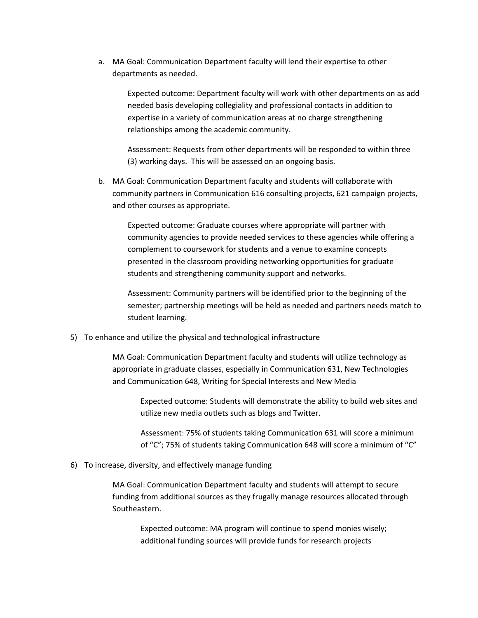a. MA Goal: Communication Department faculty will lend their expertise to other departments as needed.

> Expected outcome: Department faculty will work with other departments on as add needed basis developing collegiality and professional contacts in addition to expertise in a variety of communication areas at no charge strengthening relationships among the academic community.

Assessment: Requests from other departments will be responded to within three (3) working days. This will be assessed on an ongoing basis.

b. MA Goal: Communication Department faculty and students will collaborate with community partners in Communication 616 consulting projects, 621 campaign projects, and other courses as appropriate.

Expected outcome: Graduate courses where appropriate will partner with community agencies to provide needed services to these agencies while offering a complement to coursework for students and a venue to examine concepts presented in the classroom providing networking opportunities for graduate students and strengthening community support and networks.

Assessment: Community partners will be identified prior to the beginning of the semester; partnership meetings will be held as needed and partners needs match to student learning.

5) To enhance and utilize the physical and technological infrastructure

MA Goal: Communication Department faculty and students will utilize technology as appropriate in graduate classes, especially in Communication 631, New Technologies and Communication 648, Writing for Special Interests and New Media

Expected outcome: Students will demonstrate the ability to build web sites and utilize new media outlets such as blogs and Twitter.

Assessment: 75% of students taking Communication 631 will score a minimum of "C"; 75% of students taking Communication 648 will score a minimum of "C"

6) To increase, diversity, and effectively manage funding

MA Goal: Communication Department faculty and students will attempt to secure funding from additional sources as they frugally manage resources allocated through Southeastern.

Expected outcome: MA program will continue to spend monies wisely; additional funding sources will provide funds for research projects